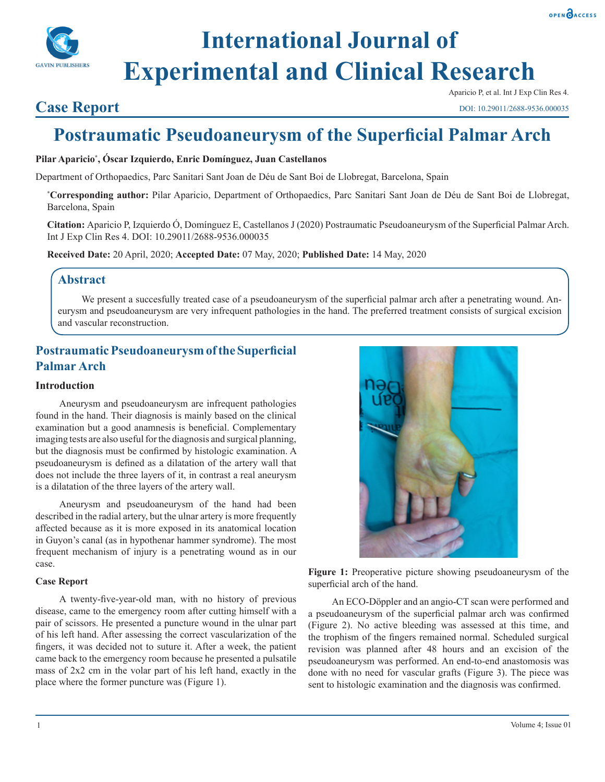



# **International Journal of Experimental and Clinical Research**

# **Case Report**

Aparicio P, et al. Int J Exp Clin Res 4.

DOI: 10.29011/2688-9536.000035

# **Postraumatic Pseudoaneurysm of the Superficial Palmar Arch**

## **Pilar Aparicio\* , Óscar Izquierdo, Enric Domínguez, Juan Castellanos**

Department of Orthopaedics, Parc Sanitari Sant Joan de Déu de Sant Boi de Llobregat, Barcelona, Spain

**\* Corresponding author:** Pilar Aparicio, Department of Orthopaedics, Parc Sanitari Sant Joan de Déu de Sant Boi de Llobregat, Barcelona, Spain

**Citation:** Aparicio P, Izquierdo Ó, Domínguez E, Castellanos J (2020) Postraumatic Pseudoaneurysm of the Superficial Palmar Arch. Int J Exp Clin Res 4. DOI: 10.29011/2688-9536.000035

**Received Date:** 20 April, 2020; **Accepted Date:** 07 May, 2020; **Published Date:** 14 May, 2020

# **Abstract**

We present a succesfully treated case of a pseudoaneurysm of the superficial palmar arch after a penetrating wound. Aneurysm and pseudoaneurysm are very infrequent pathologies in the hand. The preferred treatment consists of surgical excision and vascular reconstruction.

# **Postraumatic Pseudoaneurysm of the Superficial Palmar Arch**

## **Introduction**

Aneurysm and pseudoaneurysm are infrequent pathologies found in the hand. Their diagnosis is mainly based on the clinical examination but a good anamnesis is beneficial. Complementary imaging tests are also useful for the diagnosis and surgical planning, but the diagnosis must be confirmed by histologic examination. A pseudoaneurysm is defined as a dilatation of the artery wall that does not include the three layers of it, in contrast a real aneurysm is a dilatation of the three layers of the artery wall.

Aneurysm and pseudoaneurysm of the hand had been described in the radial artery, but the ulnar artery is more frequently affected because as it is more exposed in its anatomical location in Guyon's canal (as in hypothenar hammer syndrome). The most frequent mechanism of injury is a penetrating wound as in our case.

#### **Case Report**

A twenty-five-year-old man, with no history of previous disease, came to the emergency room after cutting himself with a pair of scissors. He presented a puncture wound in the ulnar part of his left hand. After assessing the correct vascularization of the fingers, it was decided not to suture it. After a week, the patient came back to the emergency room because he presented a pulsatile mass of 2x2 cm in the volar part of his left hand, exactly in the place where the former puncture was (Figure 1).



**Figure 1:** Preoperative picture showing pseudoaneurysm of the superficial arch of the hand.

An ECO-Döppler and an angio-CT scan were performed and a pseudoaneurysm of the superficial palmar arch was confirmed (Figure 2). No active bleeding was assessed at this time, and the trophism of the fingers remained normal. Scheduled surgical revision was planned after 48 hours and an excision of the pseudoaneurysm was performed. An end-to-end anastomosis was done with no need for vascular grafts (Figure 3). The piece was sent to histologic examination and the diagnosis was confirmed.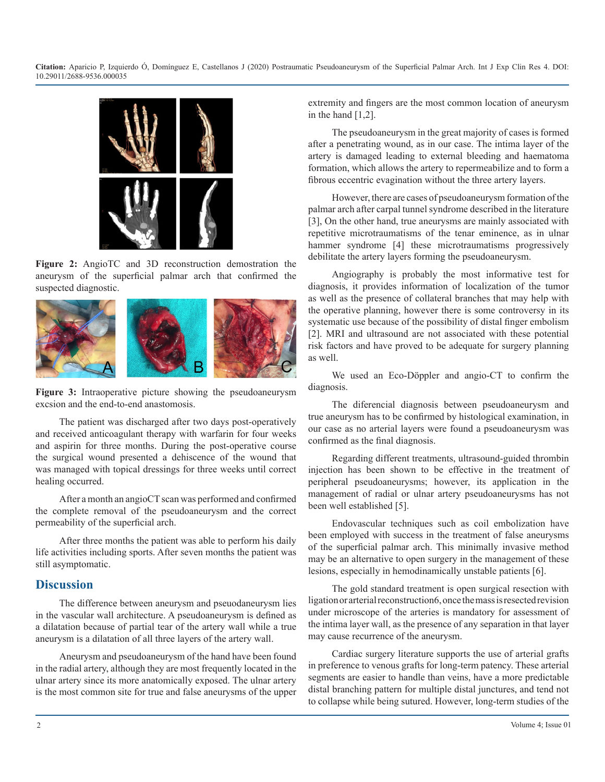**Citation:** Aparicio P, Izquierdo Ó, Domínguez E, Castellanos J (2020) Postraumatic Pseudoaneurysm of the Superficial Palmar Arch. Int J Exp Clin Res 4. DOI: 10.29011/2688-9536.000035



**Figure 2:** AngioTC and 3D reconstruction demostration the aneurysm of the superficial palmar arch that confirmed the suspected diagnostic.



**Figure 3:** Intraoperative picture showing the pseudoaneurysm excsion and the end-to-end anastomosis.

The patient was discharged after two days post-operatively and received anticoagulant therapy with warfarin for four weeks and aspirin for three months. During the post-operative course the surgical wound presented a dehiscence of the wound that was managed with topical dressings for three weeks until correct healing occurred.

After a month an angioCT scan was performed and confirmed the complete removal of the pseudoaneurysm and the correct permeability of the superficial arch.

After three months the patient was able to perform his daily life activities including sports. After seven months the patient was still asymptomatic.

#### **Discussion**

The difference between aneurysm and pseuodaneurysm lies in the vascular wall architecture. A pseudoaneurysm is defined as a dilatation because of partial tear of the artery wall while a true aneurysm is a dilatation of all three layers of the artery wall.

Aneurysm and pseudoaneurysm of the hand have been found in the radial artery, although they are most frequently located in the ulnar artery since its more anatomically exposed. The ulnar artery is the most common site for true and false aneurysms of the upper extremity and fingers are the most common location of aneurysm in the hand [1,2].

The pseudoaneurysm in the great majority of cases is formed after a penetrating wound, as in our case. The intima layer of the artery is damaged leading to external bleeding and haematoma formation, which allows the artery to repermeabilize and to form a fibrous eccentric evagination without the three artery layers.

However, there are cases of pseudoaneurysm formation of the palmar arch after carpal tunnel syndrome described in the literature [3], On the other hand, true aneurysms are mainly associated with repetitive microtraumatisms of the tenar eminence, as in ulnar hammer syndrome [4] these microtraumatisms progressively debilitate the artery layers forming the pseudoaneurysm.

Angiography is probably the most informative test for diagnosis, it provides information of localization of the tumor as well as the presence of collateral branches that may help with the operative planning, however there is some controversy in its systematic use because of the possibility of distal finger embolism [2]. MRI and ultrasound are not associated with these potential risk factors and have proved to be adequate for surgery planning as well.

We used an Eco-Döppler and angio-CT to confirm the diagnosis.

The diferencial diagnosis between pseudoaneurysm and true aneurysm has to be confirmed by histological examination, in our case as no arterial layers were found a pseudoaneurysm was confirmed as the final diagnosis.

Regarding different treatments, ultrasound-guided thrombin injection has been shown to be effective in the treatment of peripheral pseudoaneurysms; however, its application in the management of radial or ulnar artery pseudoaneurysms has not been well established [5].

Endovascular techniques such as coil embolization have been employed with success in the treatment of false aneurysms of the superficial palmar arch. This minimally invasive method may be an alternative to open surgery in the management of these lesions, especially in hemodinamically unstable patients [6].

The gold standard treatment is open surgical resection with ligation or arterial reconstruction6, once the mass is resected revision under microscope of the arteries is mandatory for assessment of the intima layer wall, as the presence of any separation in that layer may cause recurrence of the aneurysm.

Cardiac surgery literature supports the use of arterial grafts in preference to venous grafts for long-term patency. These arterial segments are easier to handle than veins, have a more predictable distal branching pattern for multiple distal junctures, and tend not to collapse while being sutured. However, long-term studies of the